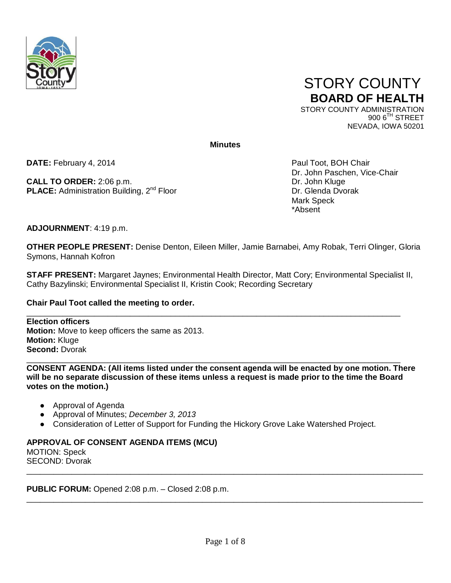



 $9006$ <sup>TH</sup> STREET NEVADA, IOWA 50201

**Minutes**

**DATE:** February 4, 2014 **Paul Toot, BOH Chair** 

**CALL TO ORDER:** 2:06 p.m.<br> **PLACE:** Administration Building, 2<sup>nd</sup> Floor **DREE:** Dr. Glenda Dvorak **PLACE:** Administration Building, 2<sup>nd</sup> Floor

Dr. John Paschen, Vice-Chair<br>Dr. John Kluge Mark Speck \*Absent

**ADJOURNMENT**: 4:19 p.m.

**OTHER PEOPLE PRESENT:** Denise Denton, Eileen Miller, Jamie Barnabei, Amy Robak, Terri Olinger, Gloria Symons, Hannah Kofron

**STAFF PRESENT:** Margaret Jaynes; Environmental Health Director, Matt Cory; Environmental Specialist II, Cathy Bazylinski; Environmental Specialist II, Kristin Cook; Recording Secretary

## **Chair Paul Toot called the meeting to order.**

\_\_\_\_\_\_\_\_\_\_\_\_\_\_\_\_\_\_\_\_\_\_\_\_\_\_\_\_\_\_\_\_\_\_\_\_\_\_\_\_\_\_\_\_\_\_\_\_\_\_\_\_\_\_\_\_\_\_\_\_\_\_\_\_\_\_\_\_\_\_\_\_\_\_\_\_\_\_\_\_\_\_\_ **Election officers Motion:** Move to keep officers the same as 2013. **Motion:** Kluge **Second:** Dvorak

\_\_\_\_\_\_\_\_\_\_\_\_\_\_\_\_\_\_\_\_\_\_\_\_\_\_\_\_\_\_\_\_\_\_\_\_\_\_\_\_\_\_\_\_\_\_\_\_\_\_\_\_\_\_\_\_\_\_\_\_\_\_\_\_\_\_\_\_\_\_\_\_\_\_\_\_\_\_\_\_\_\_\_ **CONSENT AGENDA: (All items listed under the consent agenda will be enacted by one motion. There will be no separate discussion of these items unless a request is made prior to the time the Board votes on the motion.)**

- Approval of Agenda
- Approval of Minutes; *December 3, 2013*
- Consideration of Letter of Support for Funding the Hickory Grove Lake Watershed Project.

## **APPROVAL OF CONSENT AGENDA ITEMS (MCU)**

MOTION: Speck SECOND: Dvorak

**PUBLIC FORUM:** Opened 2:08 p.m. – Closed 2:08 p.m.

\_\_\_\_\_\_\_\_\_\_\_\_\_\_\_\_\_\_\_\_\_\_\_\_\_\_\_\_\_\_\_\_\_\_\_\_\_\_\_\_\_\_\_\_\_\_\_\_\_\_\_\_\_\_\_\_\_\_\_\_\_\_\_\_\_\_\_\_\_\_\_\_\_\_\_\_\_\_\_\_\_\_\_\_\_\_\_\_

\_\_\_\_\_\_\_\_\_\_\_\_\_\_\_\_\_\_\_\_\_\_\_\_\_\_\_\_\_\_\_\_\_\_\_\_\_\_\_\_\_\_\_\_\_\_\_\_\_\_\_\_\_\_\_\_\_\_\_\_\_\_\_\_\_\_\_\_\_\_\_\_\_\_\_\_\_\_\_\_\_\_\_\_\_\_\_\_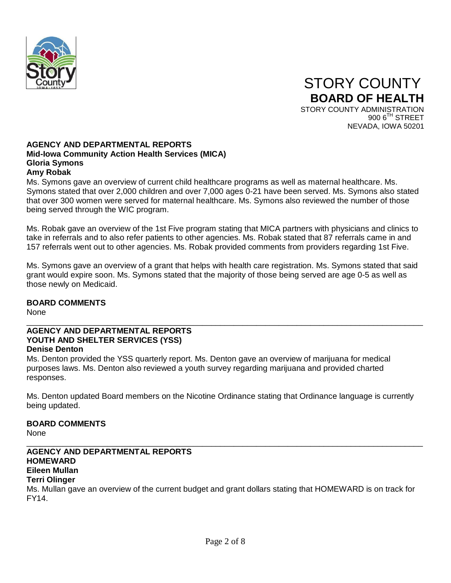

## **AGENCY AND DEPARTMENTAL REPORTS Mid-Iowa Community Action Health Services (MICA) Gloria Symons Amy Robak**

Ms. Symons gave an overview of current child healthcare programs as well as maternal healthcare. Ms. Symons stated that over 2,000 children and over 7,000 ages 0-21 have been served. Ms. Symons also stated that over 300 women were served for maternal healthcare. Ms. Symons also reviewed the number of those being served through the WIC program.

Ms. Robak gave an overview of the 1st Five program stating that MICA partners with physicians and clinics to take in referrals and to also refer patients to other agencies. Ms. Robak stated that 87 referrals came in and 157 referrals went out to other agencies. Ms. Robak provided comments from providers regarding 1st Five.

Ms. Symons gave an overview of a grant that helps with health care registration. Ms. Symons stated that said grant would expire soon. Ms. Symons stated that the majority of those being served are age 0-5 as well as those newly on Medicaid.

# **BOARD COMMENTS**

None

#### \_\_\_\_\_\_\_\_\_\_\_\_\_\_\_\_\_\_\_\_\_\_\_\_\_\_\_\_\_\_\_\_\_\_\_\_\_\_\_\_\_\_\_\_\_\_\_\_\_\_\_\_\_\_\_\_\_\_\_\_\_\_\_\_\_\_\_\_\_\_\_\_\_\_\_\_\_\_\_\_\_\_\_\_\_\_\_\_ **AGENCY AND DEPARTMENTAL REPORTS YOUTH AND SHELTER SERVICES (YSS) Denise Denton**

Ms. Denton provided the YSS quarterly report. Ms. Denton gave an overview of marijuana for medical purposes laws. Ms. Denton also reviewed a youth survey regarding marijuana and provided charted responses.

Ms. Denton updated Board members on the Nicotine Ordinance stating that Ordinance language is currently being updated.

# **BOARD COMMENTS**

None

#### \_\_\_\_\_\_\_\_\_\_\_\_\_\_\_\_\_\_\_\_\_\_\_\_\_\_\_\_\_\_\_\_\_\_\_\_\_\_\_\_\_\_\_\_\_\_\_\_\_\_\_\_\_\_\_\_\_\_\_\_\_\_\_\_\_\_\_\_\_\_\_\_\_\_\_\_\_\_\_\_\_\_\_\_\_\_\_\_ **AGENCY AND DEPARTMENTAL REPORTS HOMEWARD Eileen Mullan Terri Olinger**

Ms. Mullan gave an overview of the current budget and grant dollars stating that HOMEWARD is on track for FY14.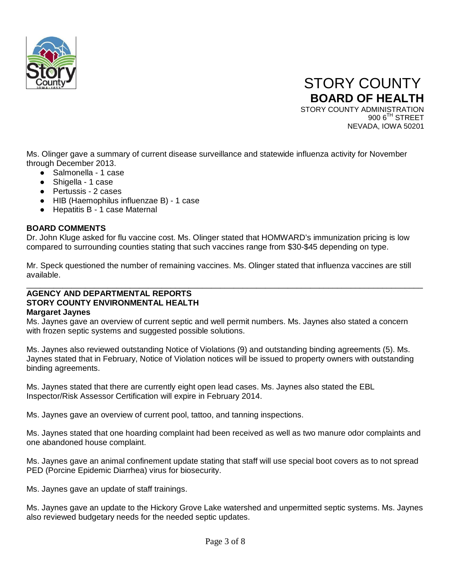

Ms. Olinger gave a summary of current disease surveillance and statewide influenza activity for November through December 2013.

- Salmonella 1 case
- Shigella 1 case
- Pertussis 2 cases
- HIB (Haemophilus influenzae B) 1 case
- Hepatitis B 1 case Maternal

## **BOARD COMMENTS**

Dr. John Kluge asked for flu vaccine cost. Ms. Olinger stated that HOMWARD's immunization pricing is low compared to surrounding counties stating that such vaccines range from \$30-\$45 depending on type.

Mr. Speck questioned the number of remaining vaccines. Ms. Olinger stated that influenza vaccines are still available.

\_\_\_\_\_\_\_\_\_\_\_\_\_\_\_\_\_\_\_\_\_\_\_\_\_\_\_\_\_\_\_\_\_\_\_\_\_\_\_\_\_\_\_\_\_\_\_\_\_\_\_\_\_\_\_\_\_\_\_\_\_\_\_\_\_\_\_\_\_\_\_\_\_\_\_\_\_\_\_\_\_\_\_\_\_\_\_\_

## **AGENCY AND DEPARTMENTAL REPORTS STORY COUNTY ENVIRONMENTAL HEALTH Margaret Jaynes**

Ms. Jaynes gave an overview of current septic and well permit numbers. Ms. Jaynes also stated a concern with frozen septic systems and suggested possible solutions.

Ms. Jaynes also reviewed outstanding Notice of Violations (9) and outstanding binding agreements (5). Ms. Jaynes stated that in February, Notice of Violation notices will be issued to property owners with outstanding binding agreements.

Ms. Jaynes stated that there are currently eight open lead cases. Ms. Jaynes also stated the EBL Inspector/Risk Assessor Certification will expire in February 2014.

Ms. Jaynes gave an overview of current pool, tattoo, and tanning inspections.

Ms. Jaynes stated that one hoarding complaint had been received as well as two manure odor complaints and one abandoned house complaint.

Ms. Jaynes gave an animal confinement update stating that staff will use special boot covers as to not spread PED (Porcine Epidemic Diarrhea) virus for biosecurity.

Ms. Jaynes gave an update of staff trainings.

Ms. Jaynes gave an update to the Hickory Grove Lake watershed and unpermitted septic systems. Ms. Jaynes also reviewed budgetary needs for the needed septic updates.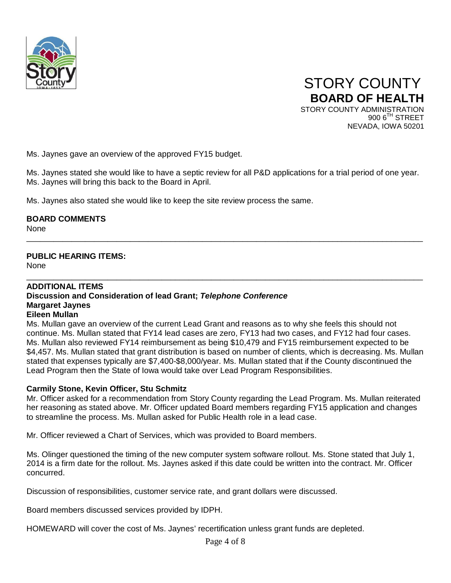

Ms. Jaynes gave an overview of the approved FY15 budget.

Ms. Jaynes stated she would like to have a septic review for all P&D applications for a trial period of one year. Ms. Jaynes will bring this back to the Board in April.

\_\_\_\_\_\_\_\_\_\_\_\_\_\_\_\_\_\_\_\_\_\_\_\_\_\_\_\_\_\_\_\_\_\_\_\_\_\_\_\_\_\_\_\_\_\_\_\_\_\_\_\_\_\_\_\_\_\_\_\_\_\_\_\_\_\_\_\_\_\_\_\_\_\_\_\_\_\_\_\_\_\_\_\_\_\_\_\_

Ms. Jaynes also stated she would like to keep the site review process the same.

**BOARD COMMENTS**

None

# **PUBLIC HEARING ITEMS:**

**None** 

#### \_\_\_\_\_\_\_\_\_\_\_\_\_\_\_\_\_\_\_\_\_\_\_\_\_\_\_\_\_\_\_\_\_\_\_\_\_\_\_\_\_\_\_\_\_\_\_\_\_\_\_\_\_\_\_\_\_\_\_\_\_\_\_\_\_\_\_\_\_\_\_\_\_\_\_\_\_\_\_\_\_\_\_\_\_\_\_\_ **ADDITIONAL ITEMS Discussion and Consideration of lead Grant;** *Telephone Conference* **Margaret Jaynes Eileen Mullan**

Ms. Mullan gave an overview of the current Lead Grant and reasons as to why she feels this should not continue. Ms. Mullan stated that FY14 lead cases are zero, FY13 had two cases, and FY12 had four cases. Ms. Mullan also reviewed FY14 reimbursement as being \$10,479 and FY15 reimbursement expected to be \$4,457. Ms. Mullan stated that grant distribution is based on number of clients, which is decreasing. Ms. Mullan stated that expenses typically are \$7,400-\$8,000/year. Ms. Mullan stated that if the County discontinued the Lead Program then the State of Iowa would take over Lead Program Responsibilities.

## **Carmily Stone, Kevin Officer, Stu Schmitz**

Mr. Officer asked for a recommendation from Story County regarding the Lead Program. Ms. Mullan reiterated her reasoning as stated above. Mr. Officer updated Board members regarding FY15 application and changes to streamline the process. Ms. Mullan asked for Public Health role in a lead case.

Mr. Officer reviewed a Chart of Services, which was provided to Board members.

Ms. Olinger questioned the timing of the new computer system software rollout. Ms. Stone stated that July 1, 2014 is a firm date for the rollout. Ms. Jaynes asked if this date could be written into the contract. Mr. Officer concurred.

Discussion of responsibilities, customer service rate, and grant dollars were discussed.

Board members discussed services provided by IDPH.

HOMEWARD will cover the cost of Ms. Jaynes' recertification unless grant funds are depleted.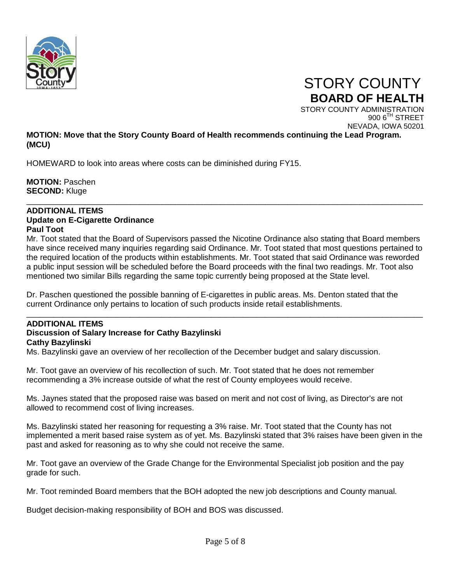

 STORY COUNTY **BOARD OF HEALTH**

STORY COUNTY ADMINISTRATION  $9006$ <sup>TH</sup> STREET NEVADA, IOWA 50201

## **MOTION: Move that the Story County Board of Health recommends continuing the Lead Program. (MCU)**

HOMEWARD to look into areas where costs can be diminished during FY15.

**MOTION:** Paschen **SECOND:** Kluge

## **ADDITIONAL ITEMS Update on E-Cigarette Ordinance Paul Toot**

Mr. Toot stated that the Board of Supervisors passed the Nicotine Ordinance also stating that Board members have since received many inquiries regarding said Ordinance. Mr. Toot stated that most questions pertained to the required location of the products within establishments. Mr. Toot stated that said Ordinance was reworded a public input session will be scheduled before the Board proceeds with the final two readings. Mr. Toot also mentioned two similar Bills regarding the same topic currently being proposed at the State level.

\_\_\_\_\_\_\_\_\_\_\_\_\_\_\_\_\_\_\_\_\_\_\_\_\_\_\_\_\_\_\_\_\_\_\_\_\_\_\_\_\_\_\_\_\_\_\_\_\_\_\_\_\_\_\_\_\_\_\_\_\_\_\_\_\_\_\_\_\_\_\_\_\_\_\_\_\_\_\_\_\_\_\_\_\_\_\_\_

\_\_\_\_\_\_\_\_\_\_\_\_\_\_\_\_\_\_\_\_\_\_\_\_\_\_\_\_\_\_\_\_\_\_\_\_\_\_\_\_\_\_\_\_\_\_\_\_\_\_\_\_\_\_\_\_\_\_\_\_\_\_\_\_\_\_\_\_\_\_\_\_\_\_\_\_\_\_\_\_\_\_\_\_\_\_\_\_

Dr. Paschen questioned the possible banning of E-cigarettes in public areas. Ms. Denton stated that the current Ordinance only pertains to location of such products inside retail establishments.

# **ADDITIONAL ITEMS Discussion of Salary Increase for Cathy Bazylinski Cathy Bazylinski**

Ms. Bazylinski gave an overview of her recollection of the December budget and salary discussion.

Mr. Toot gave an overview of his recollection of such. Mr. Toot stated that he does not remember recommending a 3% increase outside of what the rest of County employees would receive.

Ms. Jaynes stated that the proposed raise was based on merit and not cost of living, as Director's are not allowed to recommend cost of living increases.

Ms. Bazylinski stated her reasoning for requesting a 3% raise. Mr. Toot stated that the County has not implemented a merit based raise system as of yet. Ms. Bazylinski stated that 3% raises have been given in the past and asked for reasoning as to why she could not receive the same.

Mr. Toot gave an overview of the Grade Change for the Environmental Specialist job position and the pay grade for such.

Mr. Toot reminded Board members that the BOH adopted the new job descriptions and County manual.

Budget decision-making responsibility of BOH and BOS was discussed.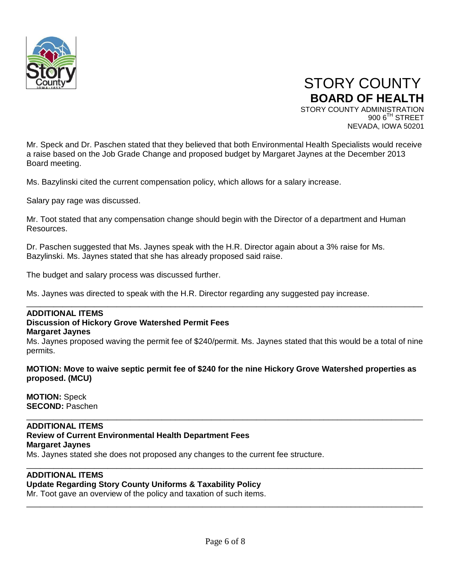

Mr. Speck and Dr. Paschen stated that they believed that both Environmental Health Specialists would receive a raise based on the Job Grade Change and proposed budget by Margaret Jaynes at the December 2013 Board meeting.

Ms. Bazylinski cited the current compensation policy, which allows for a salary increase.

Salary pay rage was discussed.

Mr. Toot stated that any compensation change should begin with the Director of a department and Human Resources.

Dr. Paschen suggested that Ms. Jaynes speak with the H.R. Director again about a 3% raise for Ms. Bazylinski. Ms. Jaynes stated that she has already proposed said raise.

The budget and salary process was discussed further.

Ms. Jaynes was directed to speak with the H.R. Director regarding any suggested pay increase.

## **ADDITIONAL ITEMS**

#### **Discussion of Hickory Grove Watershed Permit Fees**

#### **Margaret Jaynes**

Ms. Jaynes proposed waving the permit fee of \$240/permit. Ms. Jaynes stated that this would be a total of nine permits.

\_\_\_\_\_\_\_\_\_\_\_\_\_\_\_\_\_\_\_\_\_\_\_\_\_\_\_\_\_\_\_\_\_\_\_\_\_\_\_\_\_\_\_\_\_\_\_\_\_\_\_\_\_\_\_\_\_\_\_\_\_\_\_\_\_\_\_\_\_\_\_\_\_\_\_\_\_\_\_\_\_\_\_\_\_\_\_\_

**MOTION: Move to waive septic permit fee of \$240 for the nine Hickory Grove Watershed properties as proposed. (MCU)**

\_\_\_\_\_\_\_\_\_\_\_\_\_\_\_\_\_\_\_\_\_\_\_\_\_\_\_\_\_\_\_\_\_\_\_\_\_\_\_\_\_\_\_\_\_\_\_\_\_\_\_\_\_\_\_\_\_\_\_\_\_\_\_\_\_\_\_\_\_\_\_\_\_\_\_\_\_\_\_\_\_\_\_\_\_\_\_\_

\_\_\_\_\_\_\_\_\_\_\_\_\_\_\_\_\_\_\_\_\_\_\_\_\_\_\_\_\_\_\_\_\_\_\_\_\_\_\_\_\_\_\_\_\_\_\_\_\_\_\_\_\_\_\_\_\_\_\_\_\_\_\_\_\_\_\_\_\_\_\_\_\_\_\_\_\_\_\_\_\_\_\_\_\_\_\_\_

\_\_\_\_\_\_\_\_\_\_\_\_\_\_\_\_\_\_\_\_\_\_\_\_\_\_\_\_\_\_\_\_\_\_\_\_\_\_\_\_\_\_\_\_\_\_\_\_\_\_\_\_\_\_\_\_\_\_\_\_\_\_\_\_\_\_\_\_\_\_\_\_\_\_\_\_\_\_\_\_\_\_\_\_\_\_\_\_

**MOTION:** Speck **SECOND:** Paschen

#### **ADDITIONAL ITEMS Review of Current Environmental Health Department Fees**

# **Margaret Jaynes**

Ms. Jaynes stated she does not proposed any changes to the current fee structure.

## **ADDITIONAL ITEMS**

## **Update Regarding Story County Uniforms & Taxability Policy**

Mr. Toot gave an overview of the policy and taxation of such items.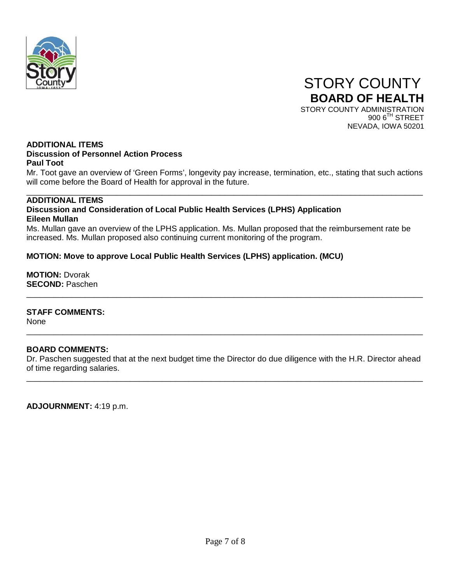

#### **ADDITIONAL ITEMS Discussion of Personnel Action Process Paul Toot**

Mr. Toot gave an overview of 'Green Forms', longevity pay increase, termination, etc., stating that such actions will come before the Board of Health for approval in the future.

#### \_\_\_\_\_\_\_\_\_\_\_\_\_\_\_\_\_\_\_\_\_\_\_\_\_\_\_\_\_\_\_\_\_\_\_\_\_\_\_\_\_\_\_\_\_\_\_\_\_\_\_\_\_\_\_\_\_\_\_\_\_\_\_\_\_\_\_\_\_\_\_\_\_\_\_\_\_\_\_\_\_\_\_\_\_\_\_\_ **ADDITIONAL ITEMS Discussion and Consideration of Local Public Health Services (LPHS) Application Eileen Mullan**

Ms. Mullan gave an overview of the LPHS application. Ms. Mullan proposed that the reimbursement rate be increased. Ms. Mullan proposed also continuing current monitoring of the program.

# **MOTION: Move to approve Local Public Health Services (LPHS) application. (MCU)**

**MOTION:** Dvorak **SECOND:** Paschen

## **STAFF COMMENTS:**

None

## **BOARD COMMENTS:**

Dr. Paschen suggested that at the next budget time the Director do due diligence with the H.R. Director ahead of time regarding salaries.

\_\_\_\_\_\_\_\_\_\_\_\_\_\_\_\_\_\_\_\_\_\_\_\_\_\_\_\_\_\_\_\_\_\_\_\_\_\_\_\_\_\_\_\_\_\_\_\_\_\_\_\_\_\_\_\_\_\_\_\_\_\_\_\_\_\_\_\_\_\_\_\_\_\_\_\_\_\_\_\_\_\_\_\_\_\_\_\_

\_\_\_\_\_\_\_\_\_\_\_\_\_\_\_\_\_\_\_\_\_\_\_\_\_\_\_\_\_\_\_\_\_\_\_\_\_\_\_\_\_\_\_\_\_\_\_\_\_\_\_\_\_\_\_\_\_\_\_\_\_\_\_\_\_\_\_\_\_\_\_\_\_\_\_\_\_\_\_\_\_\_\_\_\_\_\_\_

\_\_\_\_\_\_\_\_\_\_\_\_\_\_\_\_\_\_\_\_\_\_\_\_\_\_\_\_\_\_\_\_\_\_\_\_\_\_\_\_\_\_\_\_\_\_\_\_\_\_\_\_\_\_\_\_\_\_\_\_\_\_\_\_\_\_\_\_\_\_\_\_\_\_\_\_\_\_\_\_\_\_\_\_\_\_\_\_

**ADJOURNMENT:** 4:19 p.m.